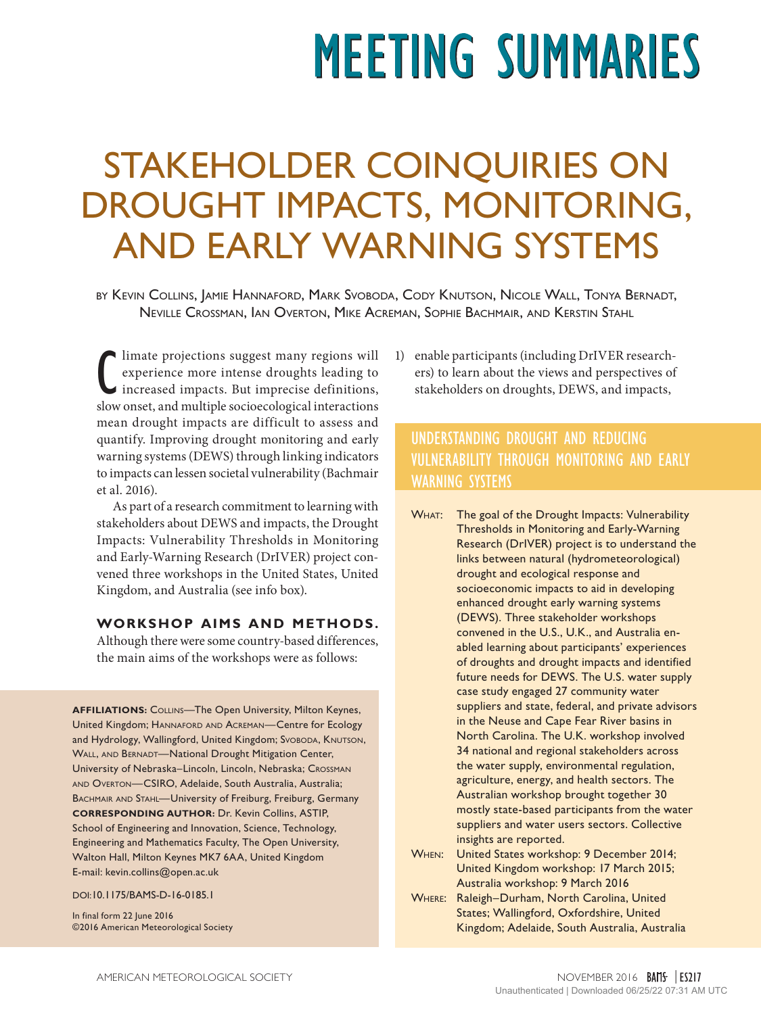# **MEETING SUMMARIES**

# STAKEHOLDER COINQUIRIES ON DROUGHT IMPACTS, MONITORING, AND EARLY WARNING SYSTEMS

by Kevin Collins, Jamie Hannaford, Mark Svoboda, Cody Knutson, Nicole Wall, Tonya Bernadt, Neville Crossman, Ian Overton, Mike Acreman, Sophie Bachmair, and Kerstin Stahl

 $\begin{tabular}{|l|l|} \hline limate projections suggest many regions will experience more intense droughts leading to increased impacts. But imprecise definitions, slow onset, and multiple socioecological interactions are used.} \hline \end{tabular}$ limate projections suggest many regions will experience more intense droughts leading to increased impacts. But imprecise definitions, mean drought impacts are difficult to assess and quantify. Improving drought monitoring and early warning systems (DEWS) through linking indicators to impacts can lessen societal vulnerability (Bachmair et al. 2016).

As part of a research commitment to learning with stakeholders about DEWS and impacts, the Drought Impacts: Vulnerability Thresholds in Monitoring and Early-Warning Research (DrIVER) project convened three workshops in the United States, United Kingdom, and Australia (see info box).

#### **WORKSHOP AIMS AND METHODS.**

Although there were some country-based differences, the main aims of the workshops were as follows:

**AFFILIATIONS:** Collins—The Open University, Milton Keynes, United Kingdom; Hannaford and Acreman—Centre for Ecology and Hydrology, Wallingford, United Kingdom; Svoboda, KNUTSON, WALL, AND BERNADT—National Drought Mitigation Center, University of Nebraska–Lincoln, Lincoln, Nebraska; Crossman and Overton—CSIRO, Adelaide, South Australia, Australia; BACHMAIR AND STAHL-University of Freiburg, Freiburg, Germany **CORRESPONDING AUTHOR:** Dr. Kevin Collins, ASTIP, School of Engineering and Innovation, Science, Technology, Engineering and Mathematics Faculty, The Open University, Walton Hall, Milton Keynes MK7 6AA, United Kingdom E-mail: kevin.collins@open.ac.uk

DOI:10.1175/BAMS-D-16-0185.1

In final form 22 June 2016 ©2016 American Meteorological Society 1) enable participants (including DrIVER researchers) to learn about the views and perspectives of stakeholders on droughts, DEWS, and impacts,

## UNDERSTANDING DROUGHT AND REDUCING VULNERABILITY THROUGH MONITORING AND EARLY WARNING SYSTEMS

- WHAT: The goal of the Drought Impacts: Vulnerability Thresholds in Monitoring and Early-Warning Research (DrIVER) project is to understand the links between natural (hydrometeorological) drought and ecological response and socioeconomic impacts to aid in developing enhanced drought early warning systems (DEWS). Three stakeholder workshops convened in the U.S., U.K., and Australia enabled learning about participants' experiences of droughts and drought impacts and identified future needs for DEWS. The U.S. water supply case study engaged 27 community water suppliers and state, federal, and private advisors in the Neuse and Cape Fear River basins in North Carolina. The U.K. workshop involved 34 national and regional stakeholders across the water supply, environmental regulation, agriculture, energy, and health sectors. The Australian workshop brought together 30 mostly state-based participants from the water suppliers and water users sectors. Collective insights are reported.
- When: United States workshop: 9 December 2014; United Kingdom workshop: 17 March 2015; Australia workshop: 9 March 2016
- Where: Raleigh–Durham, North Carolina, United States; Wallingford, Oxfordshire, United Kingdom; Adelaide, South Australia, Australia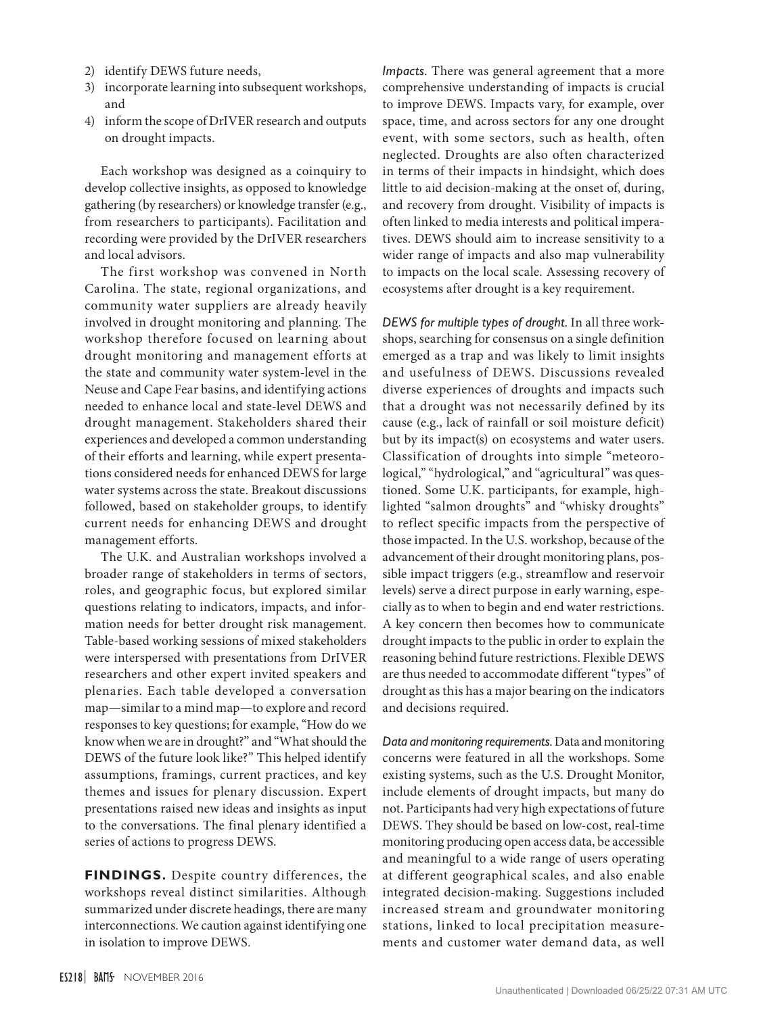- 2) identify DEWS future needs,
- 3) incorporate learning into subsequent workshops, and
- 4) inform the scope of DrIVER research and outputs on drought impacts.

Each workshop was designed as a coinquiry to develop collective insights, as opposed to knowledge gathering (by researchers) or knowledge transfer (e.g., from researchers to participants). Facilitation and recording were provided by the DrIVER researchers and local advisors.

The first workshop was convened in North Carolina. The state, regional organizations, and community water suppliers are already heavily involved in drought monitoring and planning. The workshop therefore focused on learning about drought monitoring and management efforts at the state and community water system-level in the Neuse and Cape Fear basins, and identifying actions needed to enhance local and state-level DEWS and drought management. Stakeholders shared their experiences and developed a common understanding of their efforts and learning, while expert presentations considered needs for enhanced DEWS for large water systems across the state. Breakout discussions followed, based on stakeholder groups, to identify current needs for enhancing DEWS and drought management efforts.

The U.K. and Australian workshops involved a broader range of stakeholders in terms of sectors, roles, and geographic focus, but explored similar questions relating to indicators, impacts, and information needs for better drought risk management. Table-based working sessions of mixed stakeholders were interspersed with presentations from DrIVER researchers and other expert invited speakers and plenaries. Each table developed a conversation map—similar to a mind map—to explore and record responses to key questions; for example, "How do we know when we are in drought?" and "What should the DEWS of the future look like?" This helped identify assumptions, framings, current practices, and key themes and issues for plenary discussion. Expert presentations raised new ideas and insights as input to the conversations. The final plenary identified a series of actions to progress DEWS.

**FINDINGS.** Despite country differences, the workshops reveal distinct similarities. Although summarized under discrete headings, there are many interconnections. We caution against identifying one in isolation to improve DEWS.

*Impacts.* There was general agreement that a more comprehensive understanding of impacts is crucial to improve DEWS. Impacts vary, for example, over space, time, and across sectors for any one drought event, with some sectors, such as health, often neglected. Droughts are also often characterized in terms of their impacts in hindsight, which does little to aid decision-making at the onset of, during, and recovery from drought. Visibility of impacts is often linked to media interests and political imperatives. DEWS should aim to increase sensitivity to a wider range of impacts and also map vulnerability to impacts on the local scale. Assessing recovery of ecosystems after drought is a key requirement.

*DEWS for multiple types of drought.* In all three workshops, searching for consensus on a single definition emerged as a trap and was likely to limit insights and usefulness of DEWS. Discussions revealed diverse experiences of droughts and impacts such that a drought was not necessarily defined by its cause (e.g., lack of rainfall or soil moisture deficit) but by its impact(s) on ecosystems and water users. Classification of droughts into simple "meteorological," "hydrological," and "agricultural" was questioned. Some U.K. participants, for example, highlighted "salmon droughts" and "whisky droughts" to reflect specific impacts from the perspective of those impacted*.* In the U.S. workshop, because of the advancement of their drought monitoring plans, possible impact triggers (e.g., streamflow and reservoir levels) serve a direct purpose in early warning, especially as to when to begin and end water restrictions. A key concern then becomes how to communicate drought impacts to the public in order to explain the reasoning behind future restrictions. Flexible DEWS are thus needed to accommodate different "types" of drought as this has a major bearing on the indicators and decisions required.

*Data and monitoring requirements.* Data and monitoring concerns were featured in all the workshops. Some existing systems, such as the U.S. Drought Monitor, include elements of drought impacts, but many do not. Participants had very high expectations of future DEWS. They should be based on low-cost, real-time monitoring producing open access data, be accessible and meaningful to a wide range of users operating at different geographical scales, and also enable integrated decision-making. Suggestions included increased stream and groundwater monitoring stations, linked to local precipitation measurements and customer water demand data, as well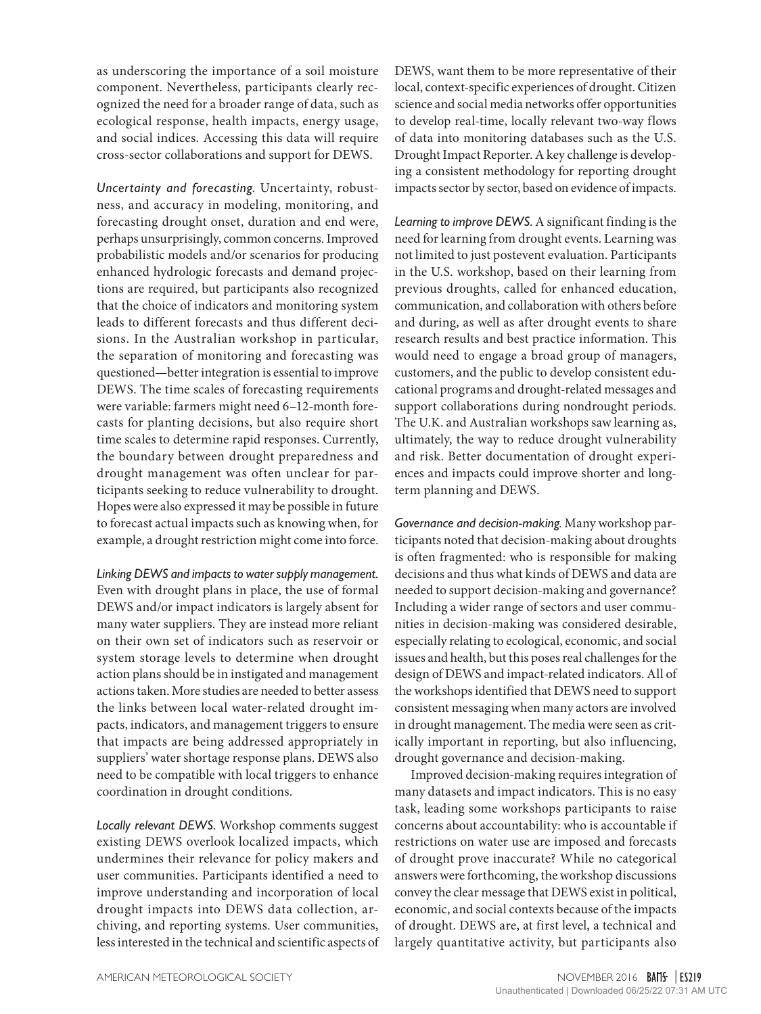as underscoring the importance of a soil moisture component. Nevertheless, participants clearly recognized the need for a broader range of data, such as ecological response, health impacts, energy usage, and social indices. Accessing this data will require cross-sector collaborations and support for DEWS.

*Uncertainty and forecasting.* Uncertainty, robustness, and accuracy in modeling, monitoring, and forecasting drought onset, duration and end were, perhaps unsurprisingly, common concerns. Improved probabilistic models and/or scenarios for producing enhanced hydrologic forecasts and demand projections are required, but participants also recognized that the choice of indicators and monitoring system leads to different forecasts and thus different decisions. In the Australian workshop in particular, the separation of monitoring and forecasting was questioned—better integration is essential to improve DEWS. The time scales of forecasting requirements were variable: farmers might need 6–12-month forecasts for planting decisions, but also require short time scales to determine rapid responses. Currently, the boundary between drought preparedness and drought management was often unclear for participants seeking to reduce vulnerability to drought. Hopes were also expressed it may be possible in future to forecast actual impacts such as knowing when, for example, a drought restriction might come into force.

*Linking DEWS and impacts to water supply management.* Even with drought plans in place, the use of formal DEWS and/or impact indicators is largely absent for many water suppliers. They are instead more reliant on their own set of indicators such as reservoir or system storage levels to determine when drought action plans should be in instigated and management actions taken. More studies are needed to better assess the links between local water-related drought impacts, indicators, and management triggers to ensure that impacts are being addressed appropriately in suppliers' water shortage response plans. DEWS also need to be compatible with local triggers to enhance coordination in drought conditions.

*Locally relevant DEWS.* Workshop comments suggest existing DEWS overlook localized impacts, which undermines their relevance for policy makers and user communities. Participants identified a need to improve understanding and incorporation of local drought impacts into DEWS data collection, archiving, and reporting systems. User communities, less interested in the technical and scientific aspects of DEWS, want them to be more representative of their local, context-specific experiences of drought. Citizen science and social media networks offer opportunities to develop real-time, locally relevant two-way flows of data into monitoring databases such as the U.S. Drought Impact Reporter. A key challenge is developing a consistent methodology for reporting drought impacts sector by sector, based on evidence of impacts.

*Learning to improve DEWS.* A significant finding is the need for learning from drought events. Learning was not limited to just postevent evaluation. Participants in the U.S. workshop, based on their learning from previous droughts, called for enhanced education, communication, and collaboration with others before and during, as well as after drought events to share research results and best practice information. This would need to engage a broad group of managers, customers, and the public to develop consistent educational programs and drought-related messages and support collaborations during nondrought periods. The U.K. and Australian workshops saw learning as, ultimately, the way to reduce drought vulnerability and risk. Better documentation of drought experiences and impacts could improve shorter and longterm planning and DEWS.

*Governance and decision-making.* Many workshop participants noted that decision-making about droughts is often fragmented: who is responsible for making decisions and thus what kinds of DEWS and data are needed to support decision-making and governance? Including a wider range of sectors and user communities in decision-making was considered desirable, especially relating to ecological, economic, and social issues and health, but this poses real challenges for the design of DEWS and impact-related indicators. All of the workshops identified that DEWS need to support consistent messaging when many actors are involved in drought management. The media were seen as critically important in reporting, but also influencing, drought governance and decision-making.

Improved decision-making requires integration of many datasets and impact indicators. This is no easy task, leading some workshops participants to raise concerns about accountability: who is accountable if restrictions on water use are imposed and forecasts of drought prove inaccurate? While no categorical answers were forthcoming, the workshop discussions convey the clear message that DEWS exist in political, economic, and social contexts because of the impacts of drought. DEWS are, at first level, a technical and largely quantitative activity, but participants also